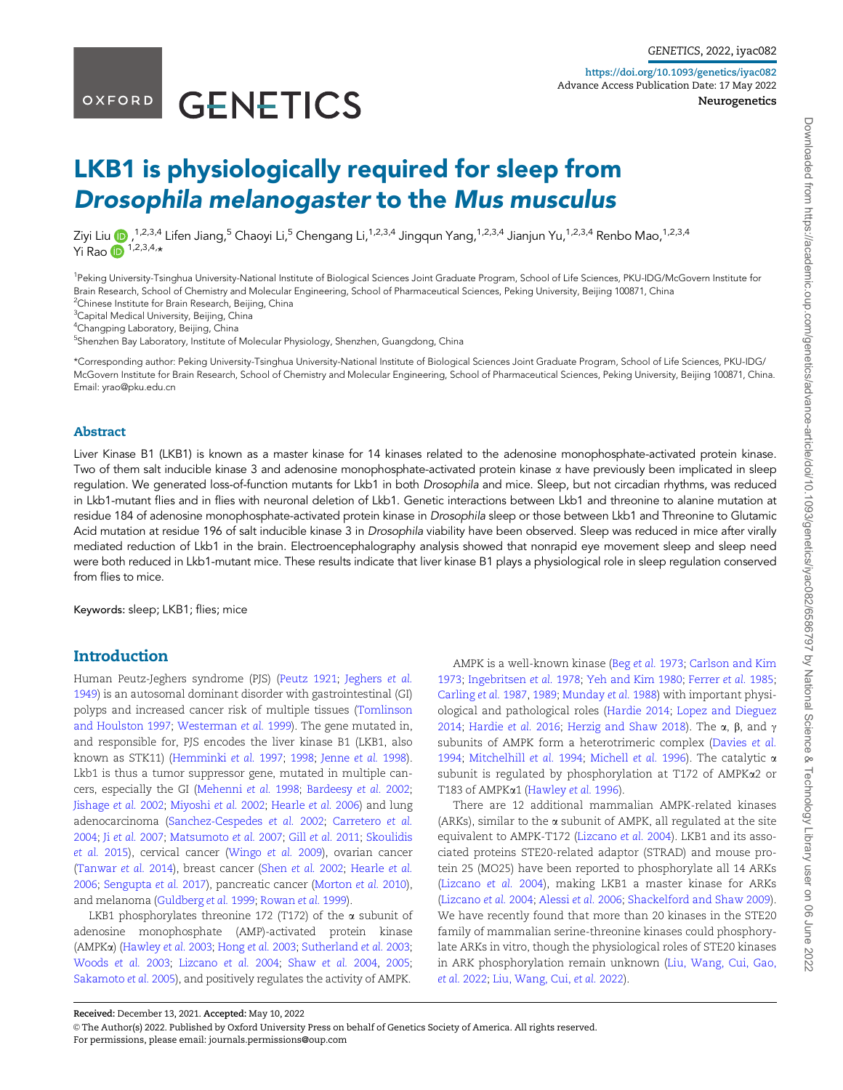# OXFORD GENETICS

https://doi.org/10.1093/genetics/iyac082 Advance Access Publication Date: 17 May 2022 Neurogenetics

Downloaded from https://academic.oup.com/genetics/advance-article/doi/10.1093/genetics/iyac082/6586797 by National Science & Technology Library user on 06 June Downloaded from https://academic.oup.com/genetics/advance-article/doi/10.1093/genetics/iyac082/6586797 by National Science & Technology Library user on 06 June 2022

2022

## LKB1 is physiologically required for sleep from Drosophila melanogaster to the Mus musculus

Ziyi Liu <mark>(b</mark> ,<sup>1,2,3,4</sup> Lifen Jiang,<sup>5</sup> Chaoyi Li,<sup>5</sup> Chengang Li,<sup>1,2,3,4</sup> Jingqun Yang,<sup>1,2,3,4</sup> Jianjun Yu,<sup>1,2,3,4</sup> Renbo Mao,<sup>1,2,3,4</sup> Yi Rao  $\overline{\mathbf{D}}^{1,2,3,4,\star}$ 

<sup>1</sup>Peking University-Tsinghua University-National Institute of Biological Sciences Joint Graduate Program, School of Life Sciences, PKU-IDG/McGovern Institute for Brain Research, School of Chemistry and Molecular Engineering, School of Pharmaceutical Sciences, Peking University, Beijing 100871, China <sup>2</sup>Chinese Institute for Brain Research, Beijing, China

<sup>3</sup>Capital Medical University, Beijing, China

4 Changping Laboratory, Beijing, China

<sup>5</sup>Shenzhen Bay Laboratory, Institute of Molecular Physiology, Shenzhen, Guangdong, China

\*Corresponding author: Peking University-Tsinghua University-National Institute of Biological Sciences Joint Graduate Program, School of Life Sciences, PKU-IDG/ McGovern Institute for Brain Research, School of Chemistry and Molecular Engineering, School of Pharmaceutical Sciences, Peking University, Beijing 100871, China. Email: yrao@pku.edu.cn

#### Abstract

Liver Kinase B1 (LKB1) is known as a master kinase for 14 kinases related to the adenosine monophosphate-activated protein kinase. Two of them salt inducible kinase 3 and adenosine monophosphate-activated protein kinase  $\alpha$  have previously been implicated in sleep regulation. We generated loss-of-function mutants for Lkb1 in both Drosophila and mice. Sleep, but not circadian rhythms, was reduced in Lkb1-mutant flies and in flies with neuronal deletion of Lkb1. Genetic interactions between Lkb1 and threonine to alanine mutation at residue 184 of adenosine monophosphate-activated protein kinase in Drosophila sleep or those between Lkb1 and Threonine to Glutamic Acid mutation at residue 196 of salt inducible kinase 3 in Drosophila viability have been observed. Sleep was reduced in mice after virally mediated reduction of Lkb1 in the brain. Electroencephalography analysis showed that nonrapid eye movement sleep and sleep need were both reduced in Lkb1-mutant mice. These results indicate that liver kinase B1 plays a physiological role in sleep regulation conserved from flies to mice.

Keywords: sleep; LKB1; flies; mice

## Introduction

Human Peutz-Jeghers syndrome (PJS) (Peutz 1921; Jeghers et al. 1949) is an autosomal dominant disorder with gastrointestinal (GI) polyps and increased cancer risk of multiple tissues (Tomlinson and Houlston 1997; Westerman et al. 1999). The gene mutated in, and responsible for, PJS encodes the liver kinase B1 (LKB1, also known as STK11) (Hemminki et al. 1997; 1998; Jenne et al. 1998). Lkb1 is thus a tumor suppressor gene, mutated in multiple cancers, especially the GI (Mehenni et al. 1998; Bardeesy et al. 2002; Jishage et al. 2002; Miyoshi et al. 2002; Hearle et al. 2006) and lung adenocarcinoma (Sanchez-Cespedes et al. 2002; Carretero et al. 2004; Ji et al. 2007; Matsumoto et al. 2007; Gill et al. 2011; Skoulidis et al. 2015), cervical cancer (Wingo et al. 2009), ovarian cancer (Tanwar et al. 2014), breast cancer (Shen et al. 2002; Hearle et al. 2006; Sengupta et al. 2017), pancreatic cancer (Morton et al. 2010), and melanoma (Guldberg et al. 1999; Rowan et al. 1999).

LKB1 phosphorylates threonine 172 (T172) of the  $\alpha$  subunit of adenosine monophosphate (AMP)-activated protein kinase (AMPKa) (Hawley et al. 2003; Hong et al. 2003; Sutherland et al. 2003; Woods et al. 2003; Lizcano et al. 2004; Shaw et al. 2004, 2005; Sakamoto et al. 2005), and positively regulates the activity of AMPK.

AMPK is a well-known kinase (Beg et al. 1973; Carlson and Kim 1973; Ingebritsen et al. 1978; Yeh and Kim 1980; Ferrer et al. 1985; Carling et al. 1987, 1989; Munday et al. 1988) with important physiological and pathological roles (Hardie 2014; Lopez and Dieguez 2014; Hardie et al. 2016; Herzig and Shaw 2018). The  $\alpha$ ,  $\beta$ , and  $\gamma$ subunits of AMPK form a heterotrimeric complex (Davies et al. 1994; Mitchelhill et al. 1994; Michell et al. 1996). The catalytic a subunit is regulated by phosphorylation at T172 of AMPKa2 or T183 of AMPKa1 (Hawley et al. 1996).

There are 12 additional mammalian AMPK-related kinases (ARKs), similar to the  $\alpha$  subunit of AMPK, all regulated at the site equivalent to AMPK-T172 (Lizcano et al. 2004). LKB1 and its associated proteins STE20-related adaptor (STRAD) and mouse protein 25 (MO25) have been reported to phosphorylate all 14 ARKs (Lizcano et al. 2004), making LKB1 a master kinase for ARKs (Lizcano et al. 2004; Alessi et al. 2006; Shackelford and Shaw 2009). We have recently found that more than 20 kinases in the STE20 family of mammalian serine-threonine kinases could phosphorylate ARKs in vitro, though the physiological roles of STE20 kinases in ARK phosphorylation remain unknown (Liu, Wang, Cui, Gao, et al. 2022; Liu, Wang, Cui, et al. 2022).

Received: December 13, 2021. Accepted: May 10, 2022

<sup>©</sup> The Author(s) 2022. Published by Oxford University Press on behalf of Genetics Society of America. All rights reserved. For permissions, please email: journals.permissions@oup.com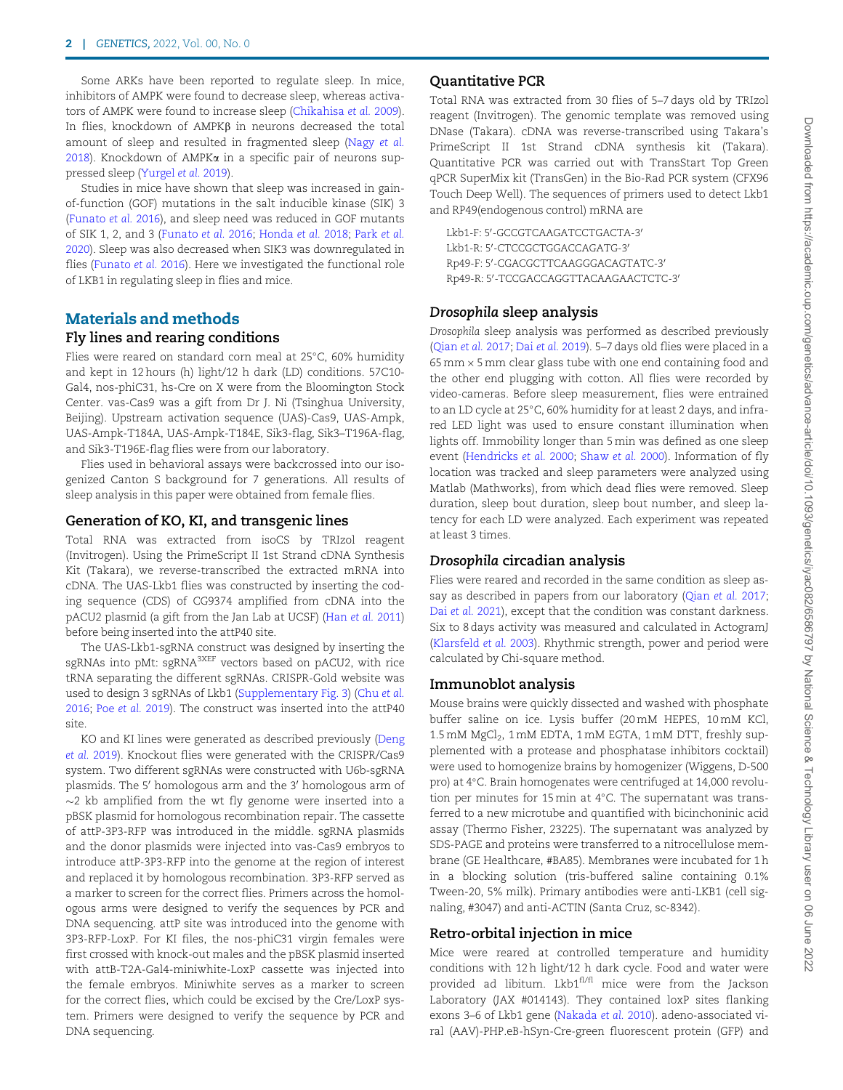Some ARKs have been reported to regulate sleep. In mice, inhibitors of AMPK were found to decrease sleep, whereas activators of AMPK were found to increase sleep (Chikahisa et al. 2009). In flies, knockdown of  $AMPK\beta$  in neurons decreased the total amount of sleep and resulted in fragmented sleep (Nagy et al. 2018). Knockdown of AMPK $\alpha$  in a specific pair of neurons suppressed sleep (Yurgel et al. 2019).

Studies in mice have shown that sleep was increased in gainof-function (GOF) mutations in the salt inducible kinase (SIK) 3 (Funato et al. 2016), and sleep need was reduced in GOF mutants of SIK 1, 2, and 3 (Funato et al. 2016; Honda et al. 2018; Park et al. 2020). Sleep was also decreased when SIK3 was downregulated in flies (Funato et al. 2016). Here we investigated the functional role of LKB1 in regulating sleep in flies and mice.

## Materials and methods Fly lines and rearing conditions

Flies were reared on standard corn meal at 25°C, 60% humidity and kept in 12 hours (h) light/12 h dark (LD) conditions. 57C10- Gal4, nos-phiC31, hs-Cre on X were from the Bloomington Stock Center. vas-Cas9 was a gift from Dr J. Ni (Tsinghua University, Beijing). Upstream activation sequence (UAS)-Cas9, UAS-Ampk, UAS-Ampk-T184A, UAS-Ampk-T184E, Sik3-flag, Sik3–T196A-flag, and Sik3-T196E-flag flies were from our laboratory.

Flies used in behavioral assays were backcrossed into our isogenized Canton S background for 7 generations. All results of sleep analysis in this paper were obtained from female flies.

#### Generation of KO, KI, and transgenic lines

Total RNA was extracted from isoCS by TRIzol reagent (Invitrogen). Using the PrimeScript II 1st Strand cDNA Synthesis Kit (Takara), we reverse-transcribed the extracted mRNA into cDNA. The UAS-Lkb1 flies was constructed by inserting the coding sequence (CDS) of CG9374 amplified from cDNA into the pACU2 plasmid (a gift from the Jan Lab at UCSF) (Han et al. 2011) before being inserted into the attP40 site.

The UAS-Lkb1-sgRNA construct was designed by inserting the sgRNAs into pMt: sgRNA<sup>3XEF</sup> vectors based on pACU2, with rice tRNA separating the different sgRNAs. CRISPR-Gold website was used to design 3 sgRNAs of Lkb1 (Supplementary Fig. 3) (Chu et al. 2016; Poe et al. 2019). The construct was inserted into the attP40 site.

KO and KI lines were generated as described previously (Deng et al. 2019). Knockout flies were generated with the CRISPR/Cas9 system. Two different sgRNAs were constructed with U6b-sgRNA plasmids. The 5' homologous arm and the 3' homologous arm of  $\sim$ 2 kb amplified from the wt fly genome were inserted into a pBSK plasmid for homologous recombination repair. The cassette of attP-3P3-RFP was introduced in the middle. sgRNA plasmids and the donor plasmids were injected into vas-Cas9 embryos to introduce attP-3P3-RFP into the genome at the region of interest and replaced it by homologous recombination. 3P3-RFP served as a marker to screen for the correct flies. Primers across the homologous arms were designed to verify the sequences by PCR and DNA sequencing. attP site was introduced into the genome with 3P3-RFP-LoxP. For KI files, the nos-phiC31 virgin females were first crossed with knock-out males and the pBSK plasmid inserted with attB-T2A-Gal4-miniwhite-LoxP cassette was injected into the female embryos. Miniwhite serves as a marker to screen for the correct flies, which could be excised by the Cre/LoxP system. Primers were designed to verify the sequence by PCR and DNA sequencing.

#### Quantitative PCR

Total RNA was extracted from 30 flies of 5–7 days old by TRIzol reagent (Invitrogen). The genomic template was removed using DNase (Takara). cDNA was reverse-transcribed using Takara's PrimeScript II 1st Strand cDNA synthesis kit (Takara). Quantitative PCR was carried out with TransStart Top Green qPCR SuperMix kit (TransGen) in the Bio-Rad PCR system (CFX96 Touch Deep Well). The sequences of primers used to detect Lkb1 and RP49(endogenous control) mRNA are

Lkb1-F: 5′-GCCGTCAAGATCCTGACTA-3′ Lkb1-R: 5′-CTCCGCTGGACCAGATG-3′ Rp49-F: 5'-CGACGCTTCAAGGGACAGTATC-3' Rp49-R: 5'-TCCGACCAGGTTACAAGAACTCTC-3'

#### Drosophila sleep analysis

Drosophila sleep analysis was performed as described previously (Qian et al. 2017; Dai et al. 2019). 5–7 days old flies were placed in a 65 mm  $\times$  5 mm clear glass tube with one end containing food and the other end plugging with cotton. All flies were recorded by video-cameras. Before sleep measurement, flies were entrained to an LD cycle at 25°C, 60% humidity for at least 2 days, and infrared LED light was used to ensure constant illumination when lights off. Immobility longer than 5 min was defined as one sleep event (Hendricks et al. 2000; Shaw et al. 2000). Information of fly location was tracked and sleep parameters were analyzed using Matlab (Mathworks), from which dead flies were removed. Sleep duration, sleep bout duration, sleep bout number, and sleep latency for each LD were analyzed. Each experiment was repeated at least 3 times.

#### Drosophila circadian analysis

Flies were reared and recorded in the same condition as sleep assay as described in papers from our laboratory (Qian et al. 2017; Dai et al. 2021), except that the condition was constant darkness. Six to 8 days activity was measured and calculated in ActogramJ (Klarsfeld et al. 2003). Rhythmic strength, power and period were calculated by Chi-square method.

#### Immunoblot analysis

Mouse brains were quickly dissected and washed with phosphate buffer saline on ice. Lysis buffer (20 mM HEPES, 10 mM KCl, 1.5 mM MgCl<sub>2</sub>, 1 mM EDTA, 1 mM EGTA, 1 mM DTT, freshly supplemented with a protease and phosphatase inhibitors cocktail) were used to homogenize brains by homogenizer (Wiggens, D-500 pro) at 4°C. Brain homogenates were centrifuged at 14,000 revolution per minutes for 15 min at  $4^{\circ}$ C. The supernatant was transferred to a new microtube and quantified with bicinchoninic acid assay (Thermo Fisher, 23225). The supernatant was analyzed by SDS-PAGE and proteins were transferred to a nitrocellulose membrane (GE Healthcare, #BA85). Membranes were incubated for 1 h in a blocking solution (tris-buffered saline containing 0.1% Tween-20, 5% milk). Primary antibodies were anti-LKB1 (cell signaling, #3047) and anti-ACTIN (Santa Cruz, sc-8342).

#### Retro-orbital injection in mice

Mice were reared at controlled temperature and humidity conditions with 12 h light/12 h dark cycle. Food and water were provided ad libitum. Lkb1fl/fl mice were from the Jackson Laboratory (JAX #014143). They contained loxP sites flanking exons 3–6 of Lkb1 gene (Nakada et al. 2010). adeno-associated viral (AAV)-PHP.eB-hSyn-Cre-green fluorescent protein (GFP) and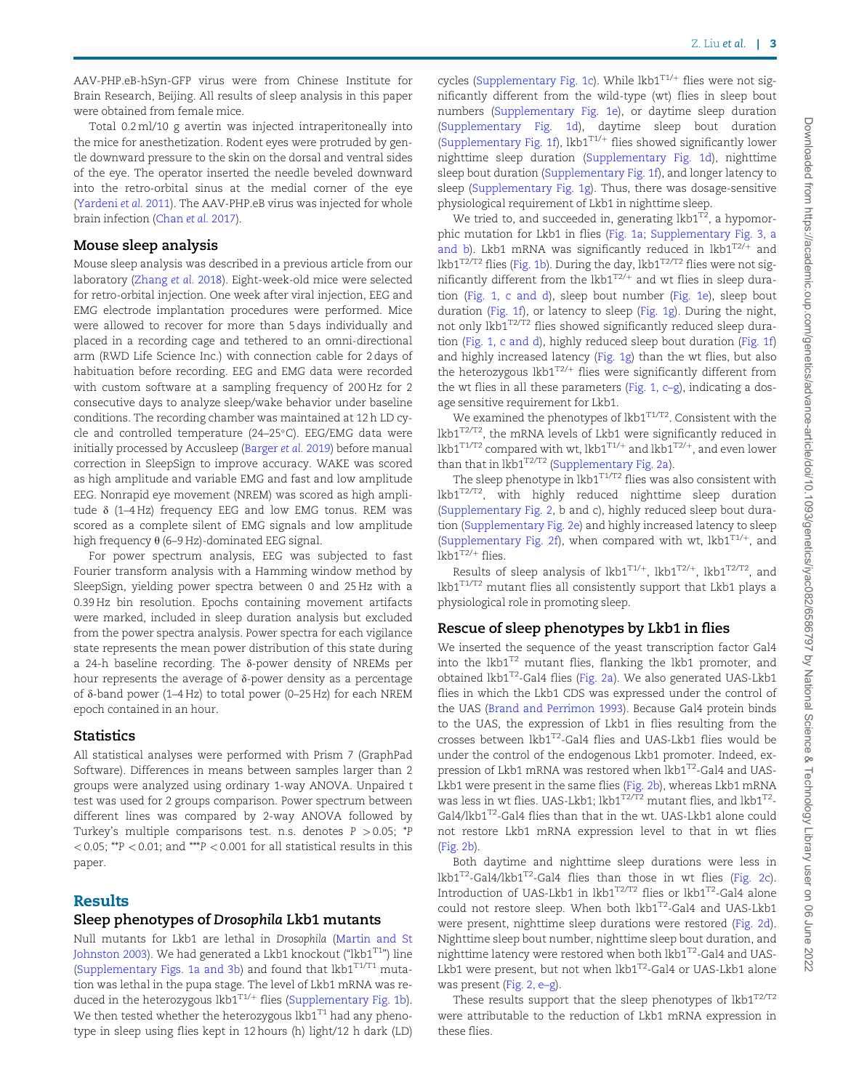AAV-PHP.eB-hSyn-GFP virus were from Chinese Institute for Brain Research, Beijing. All results of sleep analysis in this paper were obtained from female mice.

Total 0.2 ml/10 g avertin was injected intraperitoneally into the mice for anesthetization. Rodent eyes were protruded by gentle downward pressure to the skin on the dorsal and ventral sides of the eye. The operator inserted the needle beveled downward into the retro-orbital sinus at the medial corner of the eye (Yardeni et al. 2011). The AAV-PHP.eB virus was injected for whole brain infection (Chan et al. 2017).

#### Mouse sleep analysis

Mouse sleep analysis was described in a previous article from our laboratory (Zhang et al. 2018). Eight-week-old mice were selected for retro-orbital injection. One week after viral injection, EEG and EMG electrode implantation procedures were performed. Mice were allowed to recover for more than 5 days individually and placed in a recording cage and tethered to an omni-directional arm (RWD Life Science Inc.) with connection cable for 2 days of habituation before recording. EEG and EMG data were recorded with custom software at a sampling frequency of 200 Hz for 2 consecutive days to analyze sleep/wake behavior under baseline conditions. The recording chamber was maintained at 12 h LD cycle and controlled temperature (24-25°C). EEG/EMG data were initially processed by Accusleep (Barger et al. 2019) before manual correction in SleepSign to improve accuracy. WAKE was scored as high amplitude and variable EMG and fast and low amplitude EEG. Nonrapid eye movement (NREM) was scored as high amplitude  $\delta$  (1–4 Hz) frequency EEG and low EMG tonus. REM was scored as a complete silent of EMG signals and low amplitude high frequency  $\theta$  (6–9 Hz)-dominated EEG signal.

For power spectrum analysis, EEG was subjected to fast Fourier transform analysis with a Hamming window method by SleepSign, yielding power spectra between 0 and 25 Hz with a 0.39 Hz bin resolution. Epochs containing movement artifacts were marked, included in sleep duration analysis but excluded from the power spectra analysis. Power spectra for each vigilance state represents the mean power distribution of this state during a 24-h baseline recording. The  $\delta$ -power density of NREMs per hour represents the average of  $\delta$ -power density as a percentage of  $\delta$ -band power (1–4 Hz) to total power (0–25 Hz) for each NREM epoch contained in an hour.

## **Statistics**

All statistical analyses were performed with Prism 7 (GraphPad Software). Differences in means between samples larger than 2 groups were analyzed using ordinary 1-way ANOVA. Unpaired t test was used for 2 groups comparison. Power spectrum between different lines was compared by 2-way ANOVA followed by Turkey's multiple comparisons test. n.s. denotes  $P > 0.05$ ; \*P  $<$  0.05; \*\*P  $<$  0.01; and \*\*\*P  $<$  0.001 for all statistical results in this paper.

## Results

### Sleep phenotypes of Drosophila Lkb1 mutants

Null mutants for Lkb1 are lethal in Drosophila (Martin and St Johnston 2003). We had generated a Lkb1 knockout ("lkb1 $T1$ ") line (Supplementary Figs. 1a and 3b) and found that  $lkb1^{T1/T1}$  mutation was lethal in the pupa stage. The level of Lkb1 mRNA was reduced in the heterozygous lkb $1^{T1/+}$  flies (Supplementary Fig. 1b). We then tested whether the heterozygous lkb $1^{T1}$  had any phenotype in sleep using flies kept in 12 hours (h) light/12 h dark (LD) cycles (Supplementary Fig. 1c). While  $lkb1^{T1/+}$  flies were not significantly different from the wild-type (wt) flies in sleep bout numbers (Supplementary Fig. 1e), or daytime sleep duration (Supplementary Fig. 1d), daytime sleep bout duration (Supplementary Fig. 1f), lkb1 $T1/+$  flies showed significantly lower nighttime sleep duration (Supplementary Fig. 1d), nighttime sleep bout duration (Supplementary Fig. 1f), and longer latency to sleep (Supplementary Fig. 1g). Thus, there was dosage-sensitive physiological requirement of Lkb1 in nighttime sleep.

We tried to, and succeeded in, generating  $lkb1^{T2}$ , a hypomorphic mutation for Lkb1 in flies (Fig. 1a; Supplementary Fig. 3, a and b). Lkb1 mRNA was significantly reduced in  $lkb1^{T2/+}$  and lkb1<sup>T2/T2</sup> flies (Fig. 1b). During the day, lkb1<sup>T2/T2</sup> flies were not significantly different from the  $lkb1^{T2/+}$  and wt flies in sleep duration (Fig. 1, c and d), sleep bout number (Fig. 1e), sleep bout duration (Fig. 1f), or latency to sleep (Fig. 1g). During the night, not only lkb1<sup>T2/T2</sup> flies showed significantly reduced sleep duration (Fig. 1, c and d), highly reduced sleep bout duration (Fig. 1f) and highly increased latency (Fig. 1g) than the wt flies, but also the heterozygous lkb1 $T^{2/+}$  flies were significantly different from the wt flies in all these parameters (Fig. 1,  $c-g$ ), indicating a dosage sensitive requirement for Lkb1.

We examined the phenotypes of  $lkb1^{T1/T2}$ . Consistent with the lkb1T2/T2, the mRNA levels of Lkb1 were significantly reduced in  $lkb1^{T1/T2}$  compared with wt,  $lkb1^{T1/+}$  and  $lkb1^{T2/+}$ , and even lower than that in  $lkb1^{T2/T2}$  (Supplementary Fig. 2a).

The sleep phenotype in  $lkb1^{T1/T2}$  flies was also consistent with  $lkb1^{T2/T2}$ , with highly reduced nighttime sleep duration (Supplementary Fig. 2, b and c), highly reduced sleep bout duration (Supplementary Fig. 2e) and highly increased latency to sleep (Supplementary Fig. 2f), when compared with wt,  $lkb1^{T1/+}$ , and  $lkb1^{T2/+}$  flies.

Results of sleep analysis of lkb1 $T^{1/+}$ , lkb1 $T^{2/+}$ , lkb1 $T^{2/T2}$ , and lkb1T1/T2 mutant flies all consistently support that Lkb1 plays a physiological role in promoting sleep.

## Rescue of sleep phenotypes by Lkb1 in flies

We inserted the sequence of the yeast transcription factor Gal4 into the lkb1 $T^2$  mutant flies, flanking the lkb1 promoter, and obtained lkb1<sup>T2</sup>-Gal4 flies (Fig. 2a). We also generated UAS-Lkb1 flies in which the Lkb1 CDS was expressed under the control of the UAS (Brand and Perrimon 1993). Because Gal4 protein binds to the UAS, the expression of Lkb1 in flies resulting from the crosses between lkb1T2-Gal4 flies and UAS-Lkb1 flies would be under the control of the endogenous Lkb1 promoter. Indeed, expression of Lkb1 mRNA was restored when  $lkb1^{T2}$ -Gal4 and UAS-Lkb1 were present in the same flies (Fig. 2b), whereas Lkb1 mRNA was less in wt flies. UAS-Lkb1; lkb1<sup>T2/T2</sup> mutant flies, and lkb1<sup>T2</sup>-Gal4/lkb1T2-Gal4 flies than that in the wt. UAS-Lkb1 alone could not restore Lkb1 mRNA expression level to that in wt flies (Fig. 2b).

Both daytime and nighttime sleep durations were less in  $lkb1^{T2}$ -Gal4/lkb1<sup>T2</sup>-Gal4 flies than those in wt flies (Fig. 2c). Introduction of UAS-Lkb1 in  $lkb1^{T2/T2}$  flies or  $lkb1^{T2}$ -Gal4 alone could not restore sleep. When both lkb1<sup>T2</sup>-Gal4 and UAS-Lkb1 were present, nighttime sleep durations were restored (Fig. 2d). Nighttime sleep bout number, nighttime sleep bout duration, and nighttime latency were restored when both  $lkb1^{T2}$ -Gal4 and UAS-Lkb1 were present, but not when lkb1<sup>T2</sup>-Gal4 or UAS-Lkb1 alone was present (Fig. 2, e–g).

These results support that the sleep phenotypes of  $lkb1^{T2/T2}$ were attributable to the reduction of Lkb1 mRNA expression in these flies.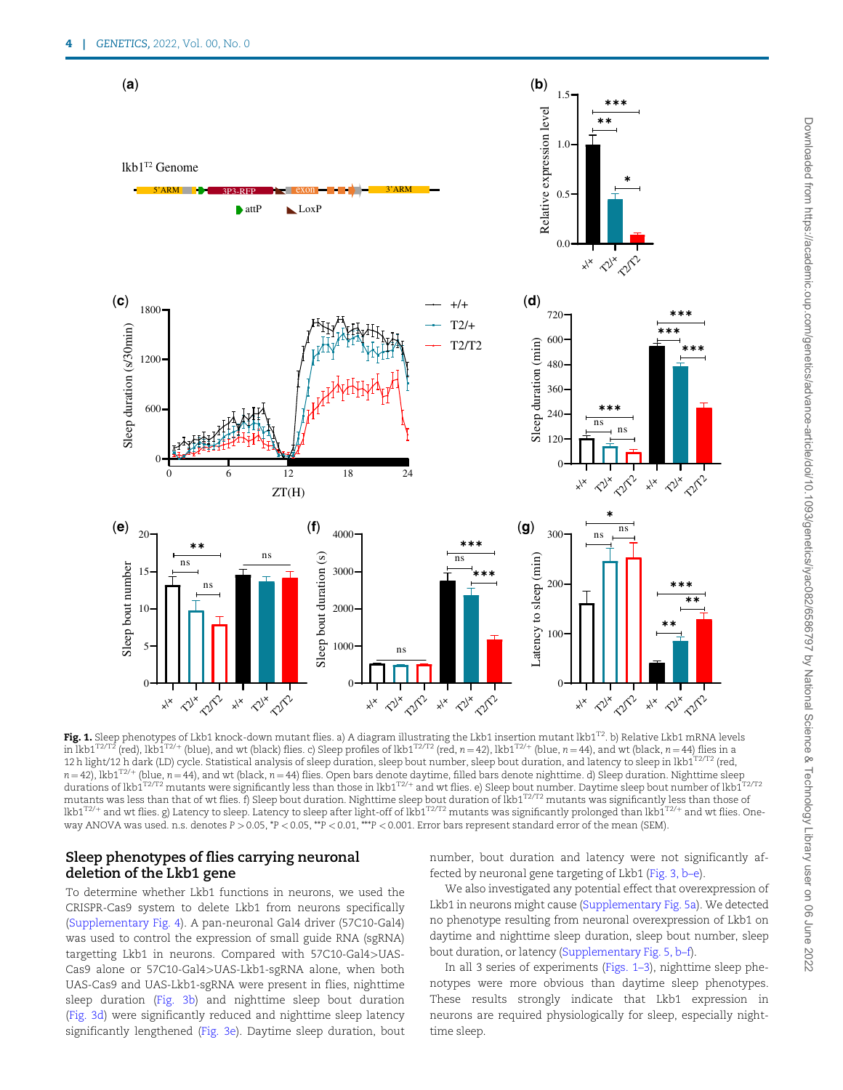

Fig. 1. Sleep phenotypes of Lkb1 knock-down mutant flies. a) A diagram illustrating the Lkb1 insertion mutant lkb1<sup>T2</sup>. b) Relative Lkb1 mRNA levels in lkb1<sup>T2/T2</sup> (red), lkb1<sup>T2/+</sup> (blue), and wt (black) flies. c) Sleep profiles of lkb1<sup>T2/T2</sup> (red, n = 42), lkb1<sup>T2/+</sup> (blue, n = 44), and wt (black, n = 44) flies in a 12 h light/12 h dark (LD) cycle. Statistical analysis of sleep duration, sleep bout number, sleep bout duration, and latency to sleep in lkb1T2/T2 (red,  $n = 42$ ), lkb1<sup>T2/+</sup> (blue,  $n = 44$ ), and wt (black,  $n = 44$ ) flies. Open bars denote daytime, filled bars denote nighttime. d) Sleep duration. Nighttime sleep durations of lkb1<sup>T2/T2</sup> mutants were significantly less than those in lkb1<sup>T2/+</sup> and wt flies. e) Sleep bout number. Daytime sleep bout number of lkb1<sup>T2/T2</sup> mutants was less than that of wt flies. f) Sleep bout duration. Nighttime sleep bout duration of lkb1<sup>T2/T2</sup> mutants was significantly less than those of lkb1 $T^{2/+}$  and wt flies. g) Latency to sleep. Latency to sleep after light-off of lkb1 $T^{2/72}$  mutants was significantly prolonged than lkb1 $T^{2/+}$  and wt flies. Oneway ANOVA was used. n.s. denotes P > 0.05, \*P < 0.05, \*\*P < 0.01, \*\*\*P < 0.001. Error bars represent standard error of the mean (SEM).

#### Sleep phenotypes of flies carrying neuronal deletion of the Lkb1 gene

To determine whether Lkb1 functions in neurons, we used the CRISPR-Cas9 system to delete Lkb1 from neurons specifically (Supplementary Fig. 4). A pan-neuronal Gal4 driver (57C10-Gal4) was used to control the expression of small guide RNA (sgRNA) targetting Lkb1 in neurons. Compared with 57C10-Gal4>UAS-Cas9 alone or 57C10-Gal4>UAS-Lkb1-sgRNA alone, when both UAS-Cas9 and UAS-Lkb1-sgRNA were present in flies, nighttime sleep duration (Fig. 3b) and nighttime sleep bout duration (Fig. 3d) were significantly reduced and nighttime sleep latency significantly lengthened (Fig. 3e). Daytime sleep duration, bout number, bout duration and latency were not significantly affected by neuronal gene targeting of Lkb1 (Fig. 3, b–e).

We also investigated any potential effect that overexpression of Lkb1 in neurons might cause (Supplementary Fig. 5a). We detected no phenotype resulting from neuronal overexpression of Lkb1 on daytime and nighttime sleep duration, sleep bout number, sleep bout duration, or latency (Supplementary Fig. 5, b–f).

In all 3 series of experiments (Figs. 1–3), nighttime sleep phenotypes were more obvious than daytime sleep phenotypes. These results strongly indicate that Lkb1 expression in neurons are required physiologically for sleep, especially nighttime sleep.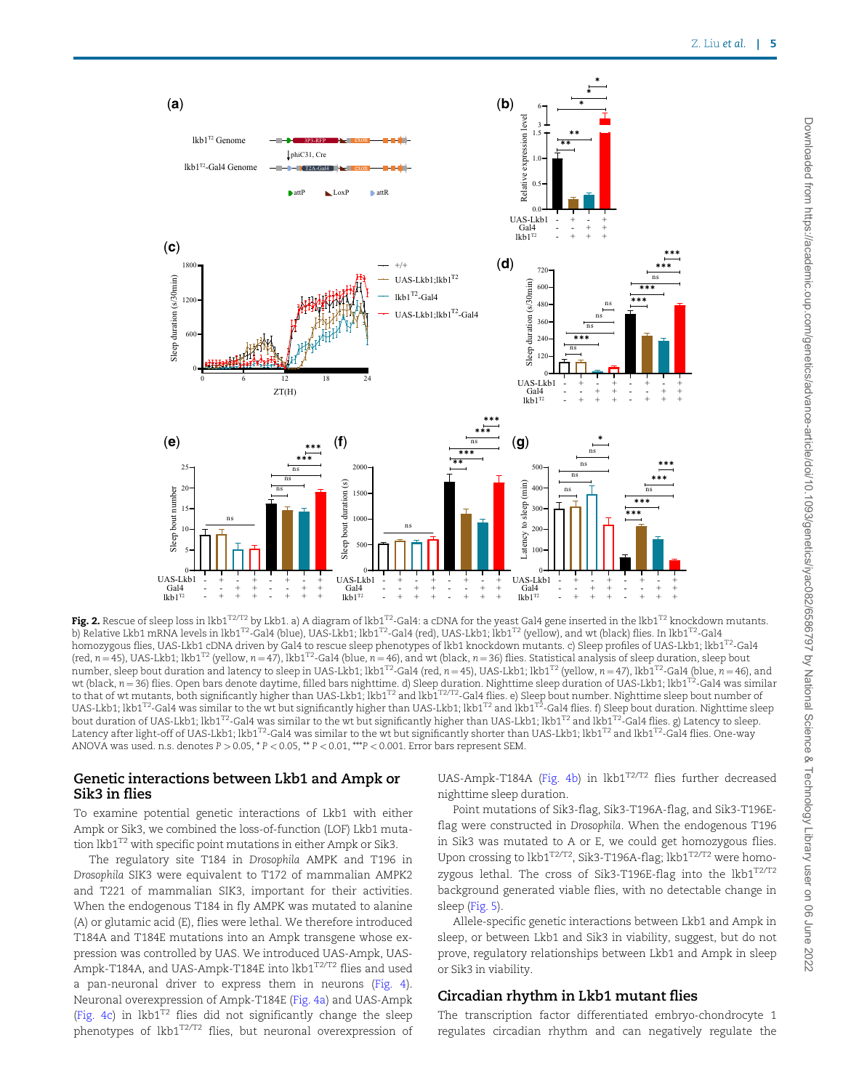

Fig. 2. Rescue of sleep loss in lkb1<sup>T2/T2</sup> by Lkb1. a) A diagram of lkb1<sup>T2</sup>-Gal4: a cDNA for the yeast Gal4 gene inserted in the lkb1<sup>T2</sup> knockdown mutants. b) Relative Lkb1 mRNA levels in lkb1<sup>T2</sup>-Gal4 (blue), UAS-Lkb1; lkb1<sup>T2</sup>-Gal4 (red), UAS-Lkb1; lkb1<sup>T2</sup> (yellow), and wt (black) flies. In lkb1<sup>T2</sup>-Gal4 homozygous flies, UAS-Lkb1 cDNA driven by Gal4 to rescue sleep phenotypes of lkb1 knockdown mutants. c) Sleep profiles of UAS-Lkb1; lkb1T2-Gal4 (red,  $n = 45$ ), UAS-Lkb1; lkb1<sup>T2</sup> (yellow,  $n = 47$ ), lkb1<sup>T2</sup>-Gal4 (blue,  $n = 46$ ), and wt (black,  $n = 36$ ) flies. Statistical analysis of sleep duration, sleep bout number, sleep bout duration and latency to sleep in UAS-Lkb1; lkb1<sup>T2</sup>-Gal4 (red, n = 45), UAS-Lkb1; lkb1<sup>T2</sup> (yellow, n = 47), lkb1<sup>T2</sup>-Gal4 (blue, n = 46), and wt (black, n=36) flies. Open bars denote daytime, filled bars nighttime. d) Sleep duration. Nighttime sleep duration of UAS-Lkb1; lkb1<sup>T2</sup>-Gal4 was similar<br>to that of wt mutants, both significantly higher than UAS-Lkb1; lk UAS-Lkb1; lkb1<sup>T2</sup>-Gal4 was similar to the wt but significantly higher than UAS-Lkb1; lkb1<sup>T2</sup> and lkb1<sup>T2</sup>-Gal4 flies. f) Sleep bout duration. Nighttime sleep bout duration of UAS-Lkb1; lkb1<sup>T2</sup>-Gal4 was similar to the wt but significantly higher than UAS-Lkb1; lkb1<sup>T2</sup> and lkb1<sup>T2</sup>-Gal4 flies. g) Latency to sleep. Latency after light-off of UAS-Lkb1; lkb1<sup>T2</sup>-Gal4 was similar to the wt but significantly shorter than UAS-Lkb1; lkb1<sup>T2</sup> and lkb1<sup>T2</sup>-Gal4 flies. One-way ANOVA was used. n.s. denotes  $P > 0.05$ ,  $*P < 0.05$ ,  $*P < 0.01$ ,  $**P < 0.001$ . Error bars represent SEM.

#### Genetic interactions between Lkb1 and Ampk or Sik3 in flies

To examine potential genetic interactions of Lkb1 with either Ampk or Sik3, we combined the loss-of-function (LOF) Lkb1 mutation lkb1<sup>T2</sup> with specific point mutations in either Ampk or Sik3.

The regulatory site T184 in Drosophila AMPK and T196 in Drosophila SIK3 were equivalent to T172 of mammalian AMPK2 and T221 of mammalian SIK3, important for their activities. When the endogenous T184 in fly AMPK was mutated to alanine (A) or glutamic acid (E), flies were lethal. We therefore introduced T184A and T184E mutations into an Ampk transgene whose expression was controlled by UAS. We introduced UAS-Ampk, UAS-Ampk-T184A, and UAS-Ampk-T184E into lkb1<sup>T2/T2</sup> flies and used a pan-neuronal driver to express them in neurons (Fig. 4). Neuronal overexpression of Ampk-T184E (Fig. 4a) and UAS-Ampk (Fig. 4c) in lkb1 $T^2$  flies did not significantly change the sleep phenotypes of lkb1T2/T2 flies, but neuronal overexpression of UAS-Ampk-T184A (Fig. 4b) in lkb1<sup>T2/T2</sup> flies further decreased nighttime sleep duration.

Point mutations of Sik3-flag, Sik3-T196A-flag, and Sik3-T196Eflag were constructed in Drosophila. When the endogenous T196 in Sik3 was mutated to A or E, we could get homozygous flies. Upon crossing to lkb1<sup>T2/T2</sup>, Sik3-T196A-flag; lkb1<sup>T2/T2</sup> were homozygous lethal. The cross of Sik3-T196E-flag into the  $lkb1^{T2/T2}$ background generated viable flies, with no detectable change in sleep (Fig. 5).

Allele-specific genetic interactions between Lkb1 and Ampk in sleep, or between Lkb1 and Sik3 in viability, suggest, but do not prove, regulatory relationships between Lkb1 and Ampk in sleep or Sik3 in viability.

### Circadian rhythm in Lkb1 mutant flies

The transcription factor differentiated embryo-chondrocyte 1 regulates circadian rhythm and can negatively regulate the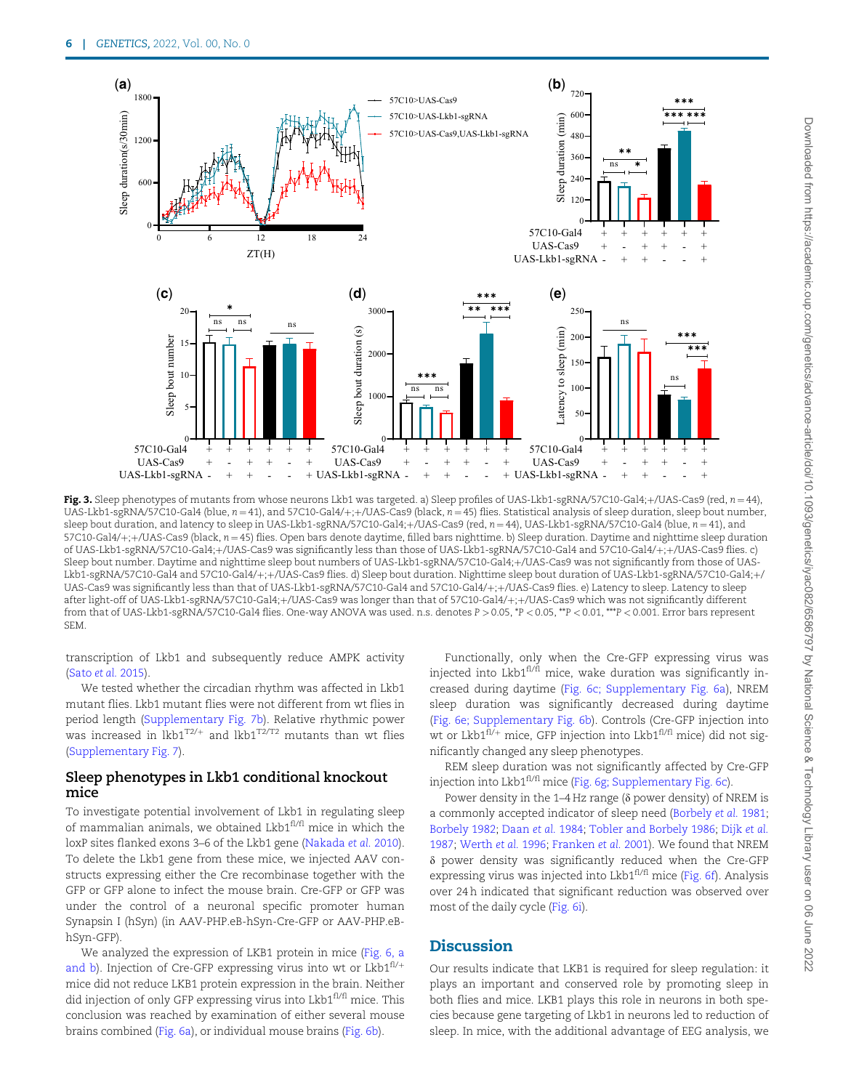

Fig. 3. Sleep phenotypes of mutants from whose neurons Lkb1 was targeted. a) Sleep profiles of UAS-Lkb1-sgRNA/57C10-Gal4;+/UAS-Cas9 (red,  $n = 44$ ), UAS-Lkb1-sgRNA/57C10-Gal4 (blue,  $n = 41$ ), and 57C10-Gal4/+;+/UAS-Cas9 (black,  $n = 45$ ) flies. Statistical analysis of sleep duration, sleep bout number, sleep bout duration, and latency to sleep in UAS-Lkb1-sgRNA/57C10-Gal4;+/UAS-Cas9 (red,  $n = 44$ ), UAS-Lkb1-sgRNA/57C10-Gal4 (blue,  $n = 41$ ), and  $57C10-Gal4/+; +/UAS-Cas9$  (black,  $n = 45$ ) flies. Open bars denote daytime, filled bars nighttime. b) Sleep duration. Daytime and nighttime sleep duration of UAS-Lkb1-sgRNA/57C10-Gal4;+/UAS-Cas9 was significantly less than those of UAS-Lkb1-sgRNA/57C10-Gal4 and 57C10-Gal4/+;+/UAS-Cas9 flies. c) Sleep bout number. Daytime and nighttime sleep bout numbers of UAS-Lkb1-sgRNA/57C10-Gal4;+/UAS-Cas9 was not significantly from those of UAS-Lkb1-sgRNA/57C10-Gal4 and 57C10-Gal4/+;+/UAS-Cas9 flies. d) Sleep bout duration. Nighttime sleep bout duration of UAS-Lkb1-sgRNA/57C10-Gal4;+/ UAS-Cas9 was significantly less than that of UAS-Lkb1-sgRNA/57C10-Gal4 and 57C10-Gal4/+;+/UAS-Cas9 flies. e) Latency to sleep. Latency to sleep after light-off of UAS-Lkb1-sgRNA/57C10-Gal4;+/UAS-Cas9 was longer than that of 57C10-Gal4/+;+/UAS-Cas9 which was not significantly different from that of UAS-Lkb1-sgRNA/57C10-Gal4 flies. One-way ANOVA was used. n.s. denotes P > 0.05, \*P < 0.05, \*P < 0.01, \*\*P < 0.001. Error bars represent SEM.

transcription of Lkb1 and subsequently reduce AMPK activity (Sato et al. 2015).

We tested whether the circadian rhythm was affected in Lkb1 mutant flies. Lkb1 mutant flies were not different from wt flies in period length (Supplementary Fig. 7b). Relative rhythmic power was increased in  $lkb1^{T2/+}$  and  $lkb1^{T2/T2}$  mutants than wt flies (Supplementary Fig. 7).

#### Sleep phenotypes in Lkb1 conditional knockout mice

To investigate potential involvement of Lkb1 in regulating sleep of mammalian animals, we obtained Lkb1<sup>fl/fl</sup> mice in which the loxP sites flanked exons 3–6 of the Lkb1 gene (Nakada et al. 2010). To delete the Lkb1 gene from these mice, we injected AAV constructs expressing either the Cre recombinase together with the GFP or GFP alone to infect the mouse brain. Cre-GFP or GFP was under the control of a neuronal specific promoter human Synapsin I (hSyn) (in AAV-PHP.eB-hSyn-Cre-GFP or AAV-PHP.eBhSyn-GFP).

We analyzed the expression of LKB1 protein in mice (Fig. 6, a and b). Injection of Cre-GFP expressing virus into wt or  $Lkb1^{fl/+}$ mice did not reduce LKB1 protein expression in the brain. Neither did injection of only GFP expressing virus into  $Lkb1<sup>f1/f1</sup>$  mice. This conclusion was reached by examination of either several mouse brains combined (Fig. 6a), or individual mouse brains (Fig. 6b).

Functionally, only when the Cre-GFP expressing virus was injected into Lkb $1<sup>f1/f1</sup>$  mice, wake duration was significantly increased during daytime (Fig. 6c; Supplementary Fig. 6a), NREM sleep duration was significantly decreased during daytime (Fig. 6e; Supplementary Fig. 6b). Controls (Cre-GFP injection into wt or Lkb1 $f$ <sup>fl/+</sup> mice, GFP injection into Lkb1 $f$ <sup>fl/fl</sup> mice) did not significantly changed any sleep phenotypes.

REM sleep duration was not significantly affected by Cre-GFP injection into Lkb1<sup>fl/fl</sup> mice (Fig. 6g; Supplementary Fig. 6c).

Power density in the  $1-4$  Hz range ( $\delta$  power density) of NREM is a commonly accepted indicator of sleep need (Borbely et al. 1981; Borbely 1982; Daan et al. 1984; Tobler and Borbely 1986; Dijk et al. 1987; Werth et al. 1996; Franken et al. 2001). We found that NREM  $\delta$  power density was significantly reduced when the Cre-GFP expressing virus was injected into  $Lkb1^{f1/f1}$  mice (Fig. 6f). Analysis over 24 h indicated that significant reduction was observed over most of the daily cycle (Fig. 6i).

## **Discussion**

Our results indicate that LKB1 is required for sleep regulation: it plays an important and conserved role by promoting sleep in both flies and mice. LKB1 plays this role in neurons in both species because gene targeting of Lkb1 in neurons led to reduction of sleep. In mice, with the additional advantage of EEG analysis, we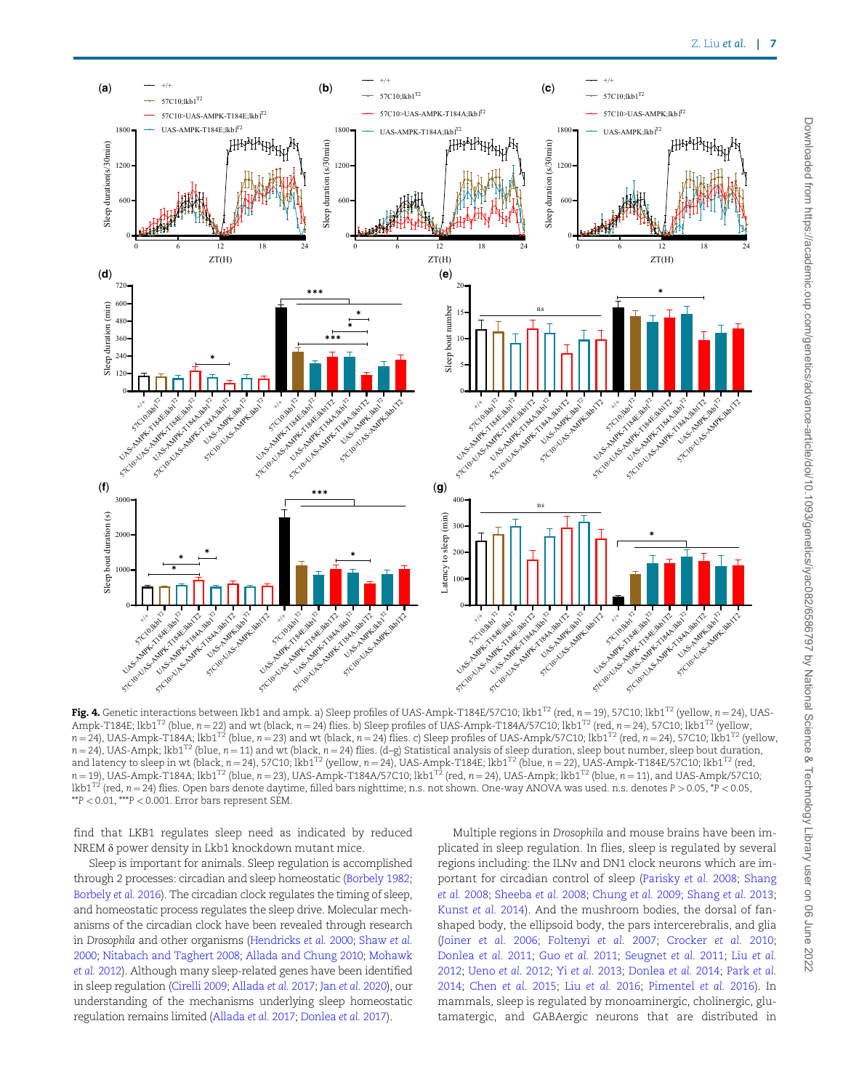

Fig. 4. Genetic interactions between lkb1 and ampk. a) Sleep profiles of UAS-Ampk-T184E/57C10; lkb1<sup>T2</sup> (red, n = 19), 57C10; lkb1<sup>T2</sup> (yellow, n = 24), UAS-Ampk-T184E; lkb1<sup>T2</sup> (blue, n = 22) and wt (black, n = 24) flies. b) Sleep profiles of UAS-Ampk-T184A/57C10; lkb1<sup>T2</sup> (red, n = 24), 57C10; lkb1<sup>T2</sup> (yellow,  $n = 24$ ), UAS-Ampk-T184A; lkb1<sup>T2</sup> (blue,  $n = 23$ ) and wt (black,  $n = 24$ ) flies. c) Sleep profiles of UAS-Ampk/57C10; lkb1<sup>T2</sup> (red,  $n = 24$ ), 57C10; lkb1<sup>T2</sup> (yellow,  $n = 24$ ), UAS-Ampk; lkb1<sup>T2</sup> (blue,  $n = 11$ ) and wt (black,  $n = 24$ ) flies. (d–g) Statistical analysis of sleep duration, sleep bout number, sleep bout duration, and latency to sleep in wt (black,  $n = 24$ ), 57C10; lkb1<sup>T2</sup> (yellow,  $n = 24$ ), UAS-Ampk-T184E; lkb1<sup>T2</sup> (blue,  $n = 22$ ), UAS-Ampk-T184E/57C10; lkb1<sup>T2</sup> (red,  $n = 19$ , UAS-Ampk-T184A; lkb1<sup>T2</sup> (blue,  $n = 23$ ), UAS-Ampk-T184A/57C10; lkb1<sup>T2</sup> (red,  $n = 24$ ), UAS-Ampk; lkb1<sup>T2</sup> (blue,  $n = 11$ ), and UAS-Ampk/57C10; lkb1<sup>T2</sup> (red,  $n = 24$ ) flies. Open bars denote daytime, filled bars nighttime; n.s. not shown. One-way ANOVA was used. n.s. denotes P > 0.05, \*P < 0.05, \*\*P < 0.01, \*\*\*P < 0.001. Error bars represent SEM.

find that LKB1 regulates sleep need as indicated by reduced NREM δ power density in Lkb1 knockdown mutant mice.

Sleep is important for animals. Sleep regulation is accomplished through 2 processes: circadian and sleep homeostatic (Borbely 1982; Borbely et al. 2016). The circadian clock regulates the timing of sleep, and homeostatic process regulates the sleep drive. Molecular mechanisms of the circadian clock have been revealed through research in Drosophila and other organisms (Hendricks et al. 2000; Shaw et al. 2000; Nitabach and Taghert 2008; Allada and Chung 2010; Mohawk et al. 2012). Although many sleep-related genes have been identified in sleep regulation (Cirelli 2009; Allada et al. 2017; Jan et al. 2020), our understanding of the mechanisms underlying sleep homeostatic regulation remains limited (Allada et al. 2017; Donlea et al. 2017).

Multiple regions in Drosophila and mouse brains have been implicated in sleep regulation. In flies, sleep is regulated by several regions including: the ILNv and DN1 clock neurons which are important for circadian control of sleep (Parisky et al. 2008; Shang et al. 2008; Sheeba et al. 2008; Chung et al. 2009; Shang et al. 2013; Kunst et al. 2014). And the mushroom bodies, the dorsal of fanshaped body, the ellipsoid body, the pars intercerebralis, and glia (Joiner et al. 2006; Foltenyi et al. 2007; Crocker et al. 2010; Donlea et al. 2011; Guo et al. 2011; Seugnet et al. 2011; Liu et al. 2012; Ueno et al. 2012; Yi et al. 2013; Donlea et al. 2014; Park et al. 2014; Chen et al. 2015; Liu et al. 2016; Pimentel et al. 2016). In mammals, sleep is regulated by monoaminergic, cholinergic, glutamatergic, and GABAergic neurons that are distributed in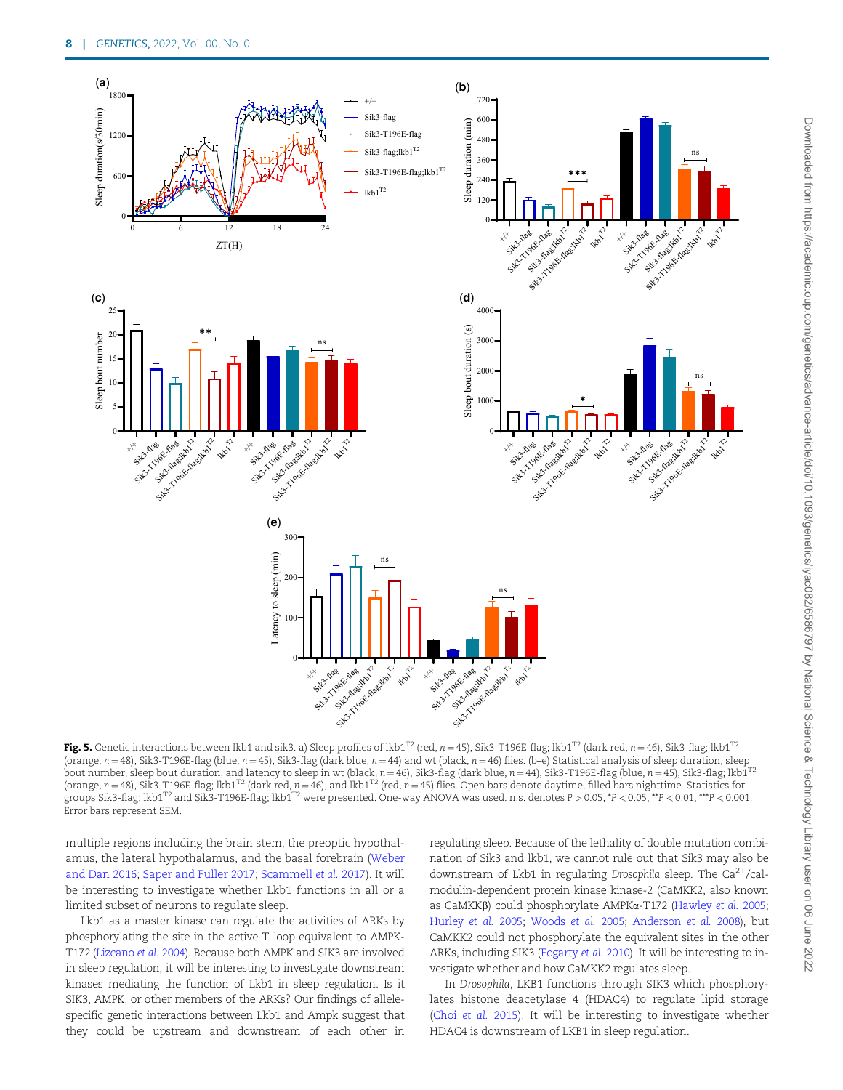

Fig. 5. Genetic interactions between lkb1 and sik3. a) Sleep profiles of lkb1<sup>T2</sup> (red, n = 45), Sik3-T196E-flag; lkb1<sup>T2</sup> (dark red, n = 46), Sik3-flag; lkb1<sup>T2</sup> (orange,  $n = 48$ ), Sik3-T196E-flag (blue,  $n = 45$ ), Sik3-flag (dark blue,  $n = 44$ ) and wt (black,  $n = 46$ ) flies. (b–e) Statistical analysis of sleep duration, sleep bout number, sleep bout duration, and latency to sleep in wt (black,  $n=46$ ), Sik3-flag (dark blue,  $n=44$ ), Sik3-T196E-flag (blue,  $n=45$ ), Sik3-flag; lkb1 $^{12}$ (orange,  $n = 48$ ), Sik3-T196E-flag; lkb1<sup>T2</sup> (dark red,  $n = 46$ ), and lkb1<sup>T2</sup> (red,  $n = 45$ ) flies. Open bars denote daytime, filled bars nighttime. Statistics for groups Sik3-flag; lkb1<sup>T2</sup> and Sik3-T196E-flag; lkb1<sup>T2</sup> were presented. One-way ANOVA was used. n.s. denotes  $P > 0.05$ ,  $P < 0.05$ ,  $\gamma P < 0.01$ ,  $\gamma P > 0.001$ . Error bars represent SEM.

multiple regions including the brain stem, the preoptic hypothalamus, the lateral hypothalamus, and the basal forebrain (Weber and Dan 2016; Saper and Fuller 2017; Scammell et al. 2017). It will be interesting to investigate whether Lkb1 functions in all or a limited subset of neurons to regulate sleep.

Lkb1 as a master kinase can regulate the activities of ARKs by phosphorylating the site in the active T loop equivalent to AMPK-T172 (Lizcano et al. 2004). Because both AMPK and SIK3 are involved in sleep regulation, it will be interesting to investigate downstream kinases mediating the function of Lkb1 in sleep regulation. Is it SIK3, AMPK, or other members of the ARKs? Our findings of allelespecific genetic interactions between Lkb1 and Ampk suggest that they could be upstream and downstream of each other in

regulating sleep. Because of the lethality of double mutation combination of Sik3 and lkb1, we cannot rule out that Sik3 may also be downstream of Lkb1 in regulating Drosophila sleep. The  $Ca^{2+}/cal$ modulin-dependent protein kinase kinase-2 (CaMKK2, also known as CaMKKβ) could phosphorylate AMPKα-T172 (Hawley et al. 2005; Hurley et al. 2005; Woods et al. 2005; Anderson et al. 2008), but CaMKK2 could not phosphorylate the equivalent sites in the other ARKs, including SIK3 (Fogarty et al. 2010). It will be interesting to investigate whether and how CaMKK2 regulates sleep.

In Drosophila, LKB1 functions through SIK3 which phosphorylates histone deacetylase 4 (HDAC4) to regulate lipid storage (Choi et al. 2015). It will be interesting to investigate whether HDAC4 is downstream of LKB1 in sleep regulation.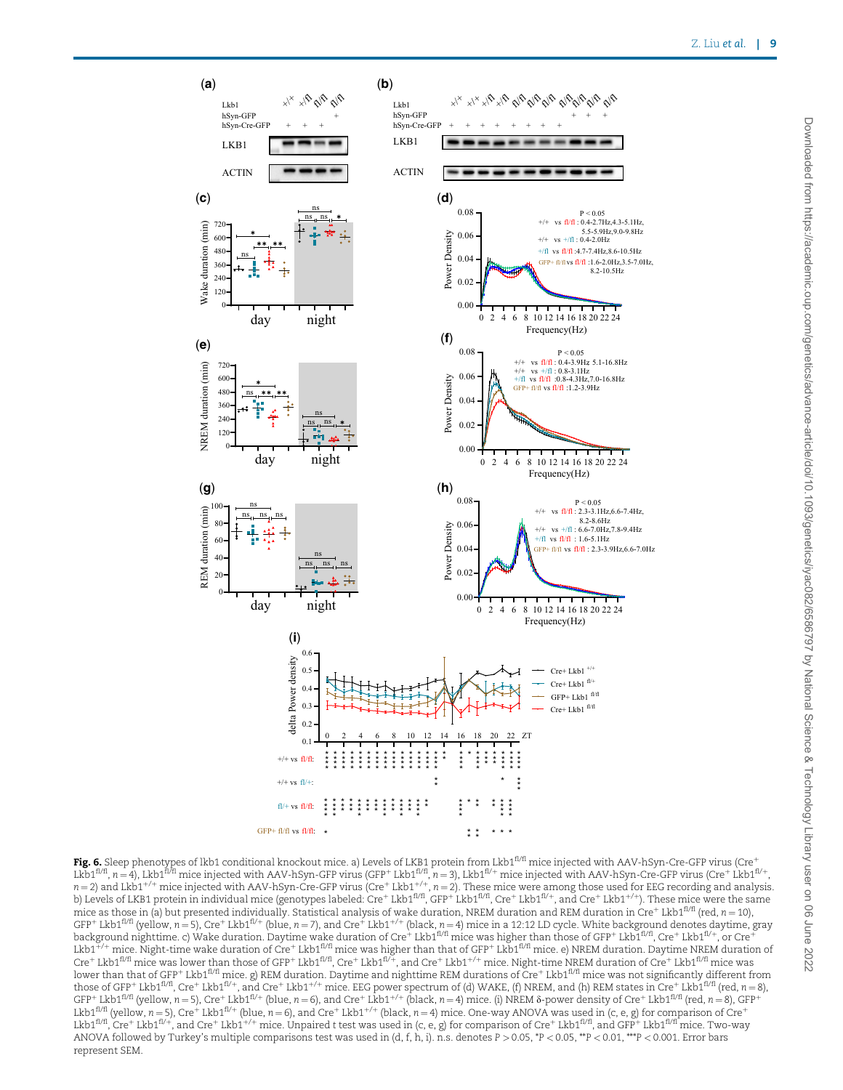

**Fig. 6.** Sleep phenotypes of lkb1 conditional knockout mice. a) Levels of LKB1 protein from Lkb1<sup>fl/fl</sup> mice injected with AAV-hSyn-Cre-GFP virus (Cre $^+$ Lkb1 $^{f1/f1}$ , n=4), Lkb1 $^{f1/f1}$  mice injected with AAV-hSyn-GFP virus (GFP+Lkb1 $^{f1/f1}$ , n=3), Lkb1 $^{f1/f+}$  mice injected with AAV-hSyn-Cre-GFP virus (Cre†Lkb1 $^{f1/f+}$ , n = 2) and Lkb1<sup>+/+</sup> mice injected with AAV-hSyn-Cre-GFP virus (Cre<sup>+</sup> Lkb1<sup>+/+</sup>, n = 2). These mice were among those used for EEG recording and analysis.<br>b) Levels of LKB1 protein in individual mice (genotypes labeled: Cr mice as those in (a) but presented individually. Statistical analysis of wake duration, NREM duration and REM duration in Cre<sup>+</sup> Lkb1<sup>fl/fl</sup> (red, n = 10), GFP<sup>+</sup> Lkb1<sup>f1/f1</sup> (yellow, n=5), Cre<sup>+</sup> Lkb1<sup>f1/+</sup> (blue, n=7), and Cre<sup>+</sup> Lkb1<sup>+/+</sup> (black, n=4) mice in a 12:12 LD cycle. White background denotes daytime, gray<br>background nighttime. c) Wake duration. Daytime wake durat Lkb1<sup> $^+/+ mice. Night-time wake duration of Cre<sup>+</sup> Lkb1<sup>1/1</sup> mice was higher than that of GFP<sup>+</sup> Lkb1<sup>1/1</sup> mice. e) NREM duration. Daytime NREM duration of$  $C$ re $\pm$  Lkb1 $^{f1/f1}$  mice was lower than those of GFP $^+$  Lkb1 $^{f1/f1}$ , Cre $^+$  Lkb1 $^{f1/f+}$ , and Cre $^+$  Lkb1 $^{+/-}$  mice. Night-time NREM duration of Cre $^+$  Lkb1 $^{f1/f1}$  mice was lower than that of GFP† Lkb1 $^{ \eta/\eta}$  mice. g) REM duration. Daytime and nighttime REM durations of Cre $^+$  Lkb1 $^{ \eta/\eta}$  mice was not significantly different from those of GFP<sup>+</sup> Lkb1<sup>fl/fl</sup>, Cre<sup>+</sup> Lkb1<sup>fl/+</sup>, and Cre<sup>+</sup> Lkb1<sup>+/+</sup> mice. EEG power spectrum of (d) WAKE, (f) NREM, and (h) REM states in Cre<sup>+</sup> Lkb1<sup>fl/fl</sup> (red, n = 8),  $GFP+Lkb1^{f1/f}$  (yellow, n = 5), Cre<sup>+</sup> Lkb1<sup>fl/+</sup> (blue, n = 6), and Cre<sup>+</sup> Lkb1<sup>+/+</sup> (black, n = 4) mice. (i) NREM  $\delta$ -power density of Cre<sup>+</sup> Lkb1<sup>fl/fl</sup> (red, n = 8), GFP<sup>+</sup> Lkb1<sup>fl/fl</sup> (yellow, n = 5), Cre<sup>+</sup> Lkb1<sup>fl/+</sup> (blue, n = 6), and Cre<sup>+</sup> Lkb1<sup>+/+</sup> (black, n = 4) mice. One-way ANOVA was used in (c, e, g) for comparison of Cre<sup>+</sup> Lkb1<sup>fl/fl</sup>, Cre<sup>+</sup> Lkb1<sup>fl/+</sup>, and Cre<sup>+</sup> Lkb1<sup>+/+</sup> mice. Unpaired t test was used in (c, e, g) for comparison of Cre<sup>+</sup> Lkb1<sup>fl/fl</sup>, and GFP<sup>+</sup> Lkb1<sup>fl/fl</sup> mice. Two-way ANOVA followed by Turkey's multiple comparisons test was used in (d, f, h, i). n.s. denotes P > 0.05, \*P < 0.05, \*\*P < 0.01, \*\*\*P < 0.001. Error bars represent SEM.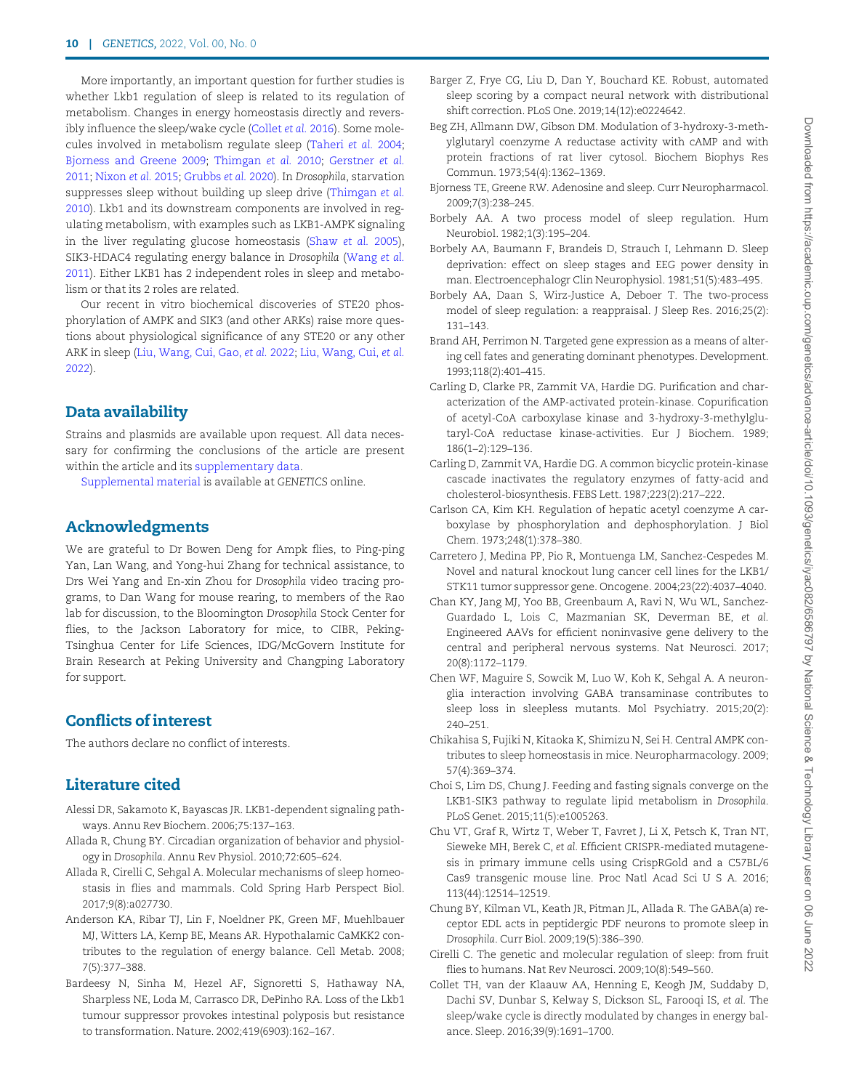More importantly, an important question for further studies is whether Lkb1 regulation of sleep is related to its regulation of metabolism. Changes in energy homeostasis directly and reversibly influence the sleep/wake cycle (Collet et al. 2016). Some molecules involved in metabolism regulate sleep (Taheri et al. 2004; Bjorness and Greene 2009; Thimgan et al. 2010; Gerstner et al. 2011; Nixon et al. 2015; Grubbs et al. 2020). In Drosophila, starvation suppresses sleep without building up sleep drive (Thimgan et al. 2010). Lkb1 and its downstream components are involved in regulating metabolism, with examples such as LKB1-AMPK signaling in the liver regulating glucose homeostasis (Shaw et al. 2005), SIK3-HDAC4 regulating energy balance in Drosophila (Wang et al. 2011). Either LKB1 has 2 independent roles in sleep and metabolism or that its 2 roles are related.

Our recent in vitro biochemical discoveries of STE20 phosphorylation of AMPK and SIK3 (and other ARKs) raise more questions about physiological significance of any STE20 or any other ARK in sleep (Liu, Wang, Cui, Gao, et al. 2022; Liu, Wang, Cui, et al. 2022).

## Data availability

Strains and plasmids are available upon request. All data necessary for confirming the conclusions of the article are present within the article and its supplementary data.

Supplemental material is available at GENETICS online.

## Acknowledgments

We are grateful to Dr Bowen Deng for Ampk flies, to Ping-ping Yan, Lan Wang, and Yong-hui Zhang for technical assistance, to Drs Wei Yang and En-xin Zhou for Drosophila video tracing programs, to Dan Wang for mouse rearing, to members of the Rao lab for discussion, to the Bloomington Drosophila Stock Center for flies, to the Jackson Laboratory for mice, to CIBR, Peking-Tsinghua Center for Life Sciences, IDG/McGovern Institute for Brain Research at Peking University and Changping Laboratory for support.

## Conflicts of interest

The authors declare no conflict of interests.

## Literature cited

- Alessi DR, Sakamoto K, Bayascas JR. LKB1-dependent signaling pathways. Annu Rev Biochem. 2006;75:137–163.
- Allada R, Chung BY. Circadian organization of behavior and physiology in Drosophila. Annu Rev Physiol. 2010;72:605–624.
- Allada R, Cirelli C, Sehgal A. Molecular mechanisms of sleep homeostasis in flies and mammals. Cold Spring Harb Perspect Biol. 2017;9(8):a027730.
- Anderson KA, Ribar TJ, Lin F, Noeldner PK, Green MF, Muehlbauer MJ, Witters LA, Kemp BE, Means AR. Hypothalamic CaMKK2 contributes to the regulation of energy balance. Cell Metab. 2008; 7(5):377–388.
- Bardeesy N, Sinha M, Hezel AF, Signoretti S, Hathaway NA, Sharpless NE, Loda M, Carrasco DR, DePinho RA. Loss of the Lkb1 tumour suppressor provokes intestinal polyposis but resistance to transformation. Nature. 2002;419(6903):162–167.
- Barger Z, Frye CG, Liu D, Dan Y, Bouchard KE. Robust, automated sleep scoring by a compact neural network with distributional shift correction. PLoS One. 2019;14(12):e0224642.
- Beg ZH, Allmann DW, Gibson DM. Modulation of 3-hydroxy-3-methylglutaryl coenzyme A reductase activity with cAMP and with protein fractions of rat liver cytosol. Biochem Biophys Res Commun. 1973;54(4):1362–1369.
- Bjorness TE, Greene RW. Adenosine and sleep. Curr Neuropharmacol. 2009;7(3):238–245.
- Borbely AA. A two process model of sleep regulation. Hum Neurobiol. 1982;1(3):195–204.
- Borbely AA, Baumann F, Brandeis D, Strauch I, Lehmann D. Sleep deprivation: effect on sleep stages and EEG power density in man. Electroencephalogr Clin Neurophysiol. 1981;51(5):483–495.
- Borbely AA, Daan S, Wirz-Justice A, Deboer T. The two-process model of sleep regulation: a reappraisal. J Sleep Res. 2016;25(2): 131–143.
- Brand AH, Perrimon N. Targeted gene expression as a means of altering cell fates and generating dominant phenotypes. Development. 1993;118(2):401–415.
- Carling D, Clarke PR, Zammit VA, Hardie DG. Purification and characterization of the AMP-activated protein-kinase. Copurification of acetyl-CoA carboxylase kinase and 3-hydroxy-3-methylglutaryl-CoA reductase kinase-activities. Eur J Biochem. 1989; 186(1–2):129–136.
- Carling D, Zammit VA, Hardie DG. A common bicyclic protein-kinase cascade inactivates the regulatory enzymes of fatty-acid and cholesterol-biosynthesis. FEBS Lett. 1987;223(2):217–222.
- Carlson CA, Kim KH. Regulation of hepatic acetyl coenzyme A carboxylase by phosphorylation and dephosphorylation. J Biol Chem. 1973;248(1):378–380.
- Carretero J, Medina PP, Pio R, Montuenga LM, Sanchez-Cespedes M. Novel and natural knockout lung cancer cell lines for the LKB1/ STK11 tumor suppressor gene. Oncogene. 2004;23(22):4037–4040.
- Chan KY, Jang MJ, Yoo BB, Greenbaum A, Ravi N, Wu WL, Sanchez-Guardado L, Lois C, Mazmanian SK, Deverman BE, et al. Engineered AAVs for efficient noninvasive gene delivery to the central and peripheral nervous systems. Nat Neurosci. 2017; 20(8):1172–1179.
- Chen WF, Maguire S, Sowcik M, Luo W, Koh K, Sehgal A. A neuronglia interaction involving GABA transaminase contributes to sleep loss in sleepless mutants. Mol Psychiatry. 2015;20(2): 240–251.
- Chikahisa S, Fujiki N, Kitaoka K, Shimizu N, Sei H. Central AMPK contributes to sleep homeostasis in mice. Neuropharmacology. 2009; 57(4):369–374.
- Choi S, Lim DS, Chung J. Feeding and fasting signals converge on the LKB1-SIK3 pathway to regulate lipid metabolism in Drosophila. PLoS Genet. 2015;11(5):e1005263.
- Chu VT, Graf R, Wirtz T, Weber T, Favret J, Li X, Petsch K, Tran NT, Sieweke MH, Berek C, et al. Efficient CRISPR-mediated mutagenesis in primary immune cells using CrispRGold and a C57BL/6 Cas9 transgenic mouse line. Proc Natl Acad Sci U S A. 2016; 113(44):12514–12519.
- Chung BY, Kilman VL, Keath JR, Pitman JL, Allada R. The GABA(a) receptor EDL acts in peptidergic PDF neurons to promote sleep in Drosophila. Curr Biol. 2009;19(5):386–390.
- Cirelli C. The genetic and molecular regulation of sleep: from fruit flies to humans. Nat Rev Neurosci. 2009;10(8):549–560.
- Collet TH, van der Klaauw AA, Henning E, Keogh JM, Suddaby D, Dachi SV, Dunbar S, Kelway S, Dickson SL, Farooqi IS, et al. The sleep/wake cycle is directly modulated by changes in energy balance. Sleep. 2016;39(9):1691–1700.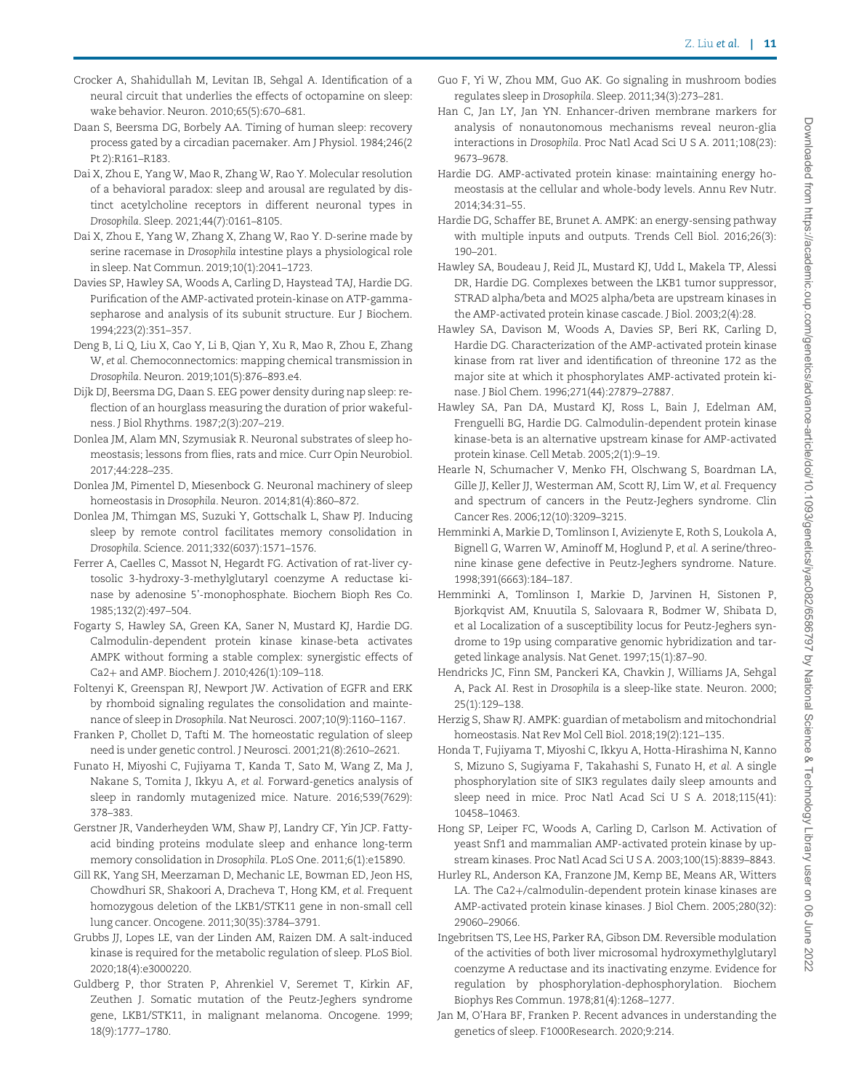- Crocker A, Shahidullah M, Levitan IB, Sehgal A. Identification of a neural circuit that underlies the effects of octopamine on sleep: wake behavior. Neuron. 2010;65(5):670–681.
- Daan S, Beersma DG, Borbely AA. Timing of human sleep: recovery process gated by a circadian pacemaker. Am J Physiol. 1984;246(2 Pt 2):R161–R183.
- Dai X, Zhou E, Yang W, Mao R, Zhang W, Rao Y. Molecular resolution of a behavioral paradox: sleep and arousal are regulated by distinct acetylcholine receptors in different neuronal types in Drosophila. Sleep. 2021;44(7):0161–8105.
- Dai X, Zhou E, Yang W, Zhang X, Zhang W, Rao Y. D-serine made by serine racemase in Drosophila intestine plays a physiological role in sleep. Nat Commun. 2019;10(1):2041–1723.
- Davies SP, Hawley SA, Woods A, Carling D, Haystead TAJ, Hardie DG. Purification of the AMP-activated protein-kinase on ATP-gammasepharose and analysis of its subunit structure. Eur J Biochem. 1994;223(2):351–357.
- Deng B, Li Q, Liu X, Cao Y, Li B, Qian Y, Xu R, Mao R, Zhou E, Zhang W, et al. Chemoconnectomics: mapping chemical transmission in Drosophila. Neuron. 2019;101(5):876–893.e4.
- Dijk DJ, Beersma DG, Daan S. EEG power density during nap sleep: reflection of an hourglass measuring the duration of prior wakefulness. J Biol Rhythms. 1987;2(3):207–219.
- Donlea JM, Alam MN, Szymusiak R. Neuronal substrates of sleep homeostasis; lessons from flies, rats and mice. Curr Opin Neurobiol. 2017;44:228–235.
- Donlea JM, Pimentel D, Miesenbock G. Neuronal machinery of sleep homeostasis in Drosophila. Neuron. 2014;81(4):860–872.
- Donlea JM, Thimgan MS, Suzuki Y, Gottschalk L, Shaw PJ. Inducing sleep by remote control facilitates memory consolidation in Drosophila. Science. 2011;332(6037):1571–1576.
- Ferrer A, Caelles C, Massot N, Hegardt FG. Activation of rat-liver cytosolic 3-hydroxy-3-methylglutaryl coenzyme A reductase kinase by adenosine 5'-monophosphate. Biochem Bioph Res Co. 1985;132(2):497–504.
- Fogarty S, Hawley SA, Green KA, Saner N, Mustard KJ, Hardie DG. Calmodulin-dependent protein kinase kinase-beta activates AMPK without forming a stable complex: synergistic effects of Ca2+ and AMP. Biochem J. 2010;426(1):109-118.
- Foltenyi K, Greenspan RJ, Newport JW. Activation of EGFR and ERK by rhomboid signaling regulates the consolidation and maintenance of sleep in Drosophila. Nat Neurosci. 2007;10(9):1160–1167.
- Franken P, Chollet D, Tafti M. The homeostatic regulation of sleep need is under genetic control. J Neurosci. 2001;21(8):2610–2621.
- Funato H, Miyoshi C, Fujiyama T, Kanda T, Sato M, Wang Z, Ma J, Nakane S, Tomita J, Ikkyu A, et al. Forward-genetics analysis of sleep in randomly mutagenized mice. Nature. 2016;539(7629): 378–383.
- Gerstner JR, Vanderheyden WM, Shaw PJ, Landry CF, Yin JCP. Fattyacid binding proteins modulate sleep and enhance long-term memory consolidation in Drosophila. PLoS One. 2011;6(1):e15890.
- Gill RK, Yang SH, Meerzaman D, Mechanic LE, Bowman ED, Jeon HS, Chowdhuri SR, Shakoori A, Dracheva T, Hong KM, et al. Frequent homozygous deletion of the LKB1/STK11 gene in non-small cell lung cancer. Oncogene. 2011;30(35):3784–3791.
- Grubbs JJ, Lopes LE, van der Linden AM, Raizen DM. A salt-induced kinase is required for the metabolic regulation of sleep. PLoS Biol. 2020;18(4):e3000220.
- Guldberg P, thor Straten P, Ahrenkiel V, Seremet T, Kirkin AF, Zeuthen J. Somatic mutation of the Peutz-Jeghers syndrome gene, LKB1/STK11, in malignant melanoma. Oncogene. 1999; 18(9):1777–1780.
- Guo F, Yi W, Zhou MM, Guo AK. Go signaling in mushroom bodies regulates sleep in Drosophila. Sleep. 2011;34(3):273–281.
- Han C, Jan LY, Jan YN. Enhancer-driven membrane markers for analysis of nonautonomous mechanisms reveal neuron-glia interactions in Drosophila. Proc Natl Acad Sci U S A. 2011;108(23): 9673–9678.
- Hardie DG. AMP-activated protein kinase: maintaining energy homeostasis at the cellular and whole-body levels. Annu Rev Nutr. 2014;34:31–55.
- Hardie DG, Schaffer BE, Brunet A. AMPK: an energy-sensing pathway with multiple inputs and outputs. Trends Cell Biol. 2016;26(3): 190–201.
- Hawley SA, Boudeau J, Reid JL, Mustard KJ, Udd L, Makela TP, Alessi DR, Hardie DG. Complexes between the LKB1 tumor suppressor, STRAD alpha/beta and MO25 alpha/beta are upstream kinases in the AMP-activated protein kinase cascade. J Biol. 2003;2(4):28.
- Hawley SA, Davison M, Woods A, Davies SP, Beri RK, Carling D, Hardie DG. Characterization of the AMP-activated protein kinase kinase from rat liver and identification of threonine 172 as the major site at which it phosphorylates AMP-activated protein kinase. J Biol Chem. 1996;271(44):27879–27887.
- Hawley SA, Pan DA, Mustard KJ, Ross L, Bain J, Edelman AM, Frenguelli BG, Hardie DG. Calmodulin-dependent protein kinase kinase-beta is an alternative upstream kinase for AMP-activated protein kinase. Cell Metab. 2005;2(1):9–19.
- Hearle N, Schumacher V, Menko FH, Olschwang S, Boardman LA, Gille JJ, Keller JJ, Westerman AM, Scott RJ, Lim W, et al. Frequency and spectrum of cancers in the Peutz-Jeghers syndrome. Clin Cancer Res. 2006;12(10):3209–3215.
- Hemminki A, Markie D, Tomlinson I, Avizienyte E, Roth S, Loukola A, Bignell G, Warren W, Aminoff M, Hoglund P, et al. A serine/threonine kinase gene defective in Peutz-Jeghers syndrome. Nature. 1998;391(6663):184–187.
- Hemminki A, Tomlinson I, Markie D, Jarvinen H, Sistonen P, Bjorkqvist AM, Knuutila S, Salovaara R, Bodmer W, Shibata D, et al Localization of a susceptibility locus for Peutz-Jeghers syndrome to 19p using comparative genomic hybridization and targeted linkage analysis. Nat Genet. 1997;15(1):87–90.
- Hendricks JC, Finn SM, Panckeri KA, Chavkin J, Williams JA, Sehgal A, Pack AI. Rest in Drosophila is a sleep-like state. Neuron. 2000; 25(1):129–138.
- Herzig S, Shaw RJ. AMPK: guardian of metabolism and mitochondrial homeostasis. Nat Rev Mol Cell Biol. 2018;19(2):121–135.
- Honda T, Fujiyama T, Miyoshi C, Ikkyu A, Hotta-Hirashima N, Kanno S, Mizuno S, Sugiyama F, Takahashi S, Funato H, et al. A single phosphorylation site of SIK3 regulates daily sleep amounts and sleep need in mice. Proc Natl Acad Sci U S A. 2018;115(41): 10458–10463.
- Hong SP, Leiper FC, Woods A, Carling D, Carlson M. Activation of yeast Snf1 and mammalian AMP-activated protein kinase by upstream kinases. Proc Natl Acad Sci U S A. 2003;100(15):8839–8843.
- Hurley RL, Anderson KA, Franzone JM, Kemp BE, Means AR, Witters LA. The Ca2+/calmodulin-dependent protein kinase kinases are AMP-activated protein kinase kinases. J Biol Chem. 2005;280(32): 29060–29066.
- Ingebritsen TS, Lee HS, Parker RA, Gibson DM. Reversible modulation of the activities of both liver microsomal hydroxymethylglutaryl coenzyme A reductase and its inactivating enzyme. Evidence for regulation by phosphorylation-dephosphorylation. Biochem Biophys Res Commun. 1978;81(4):1268–1277.
- Jan M, O'Hara BF, Franken P. Recent advances in understanding the genetics of sleep. F1000Research. 2020;9:214.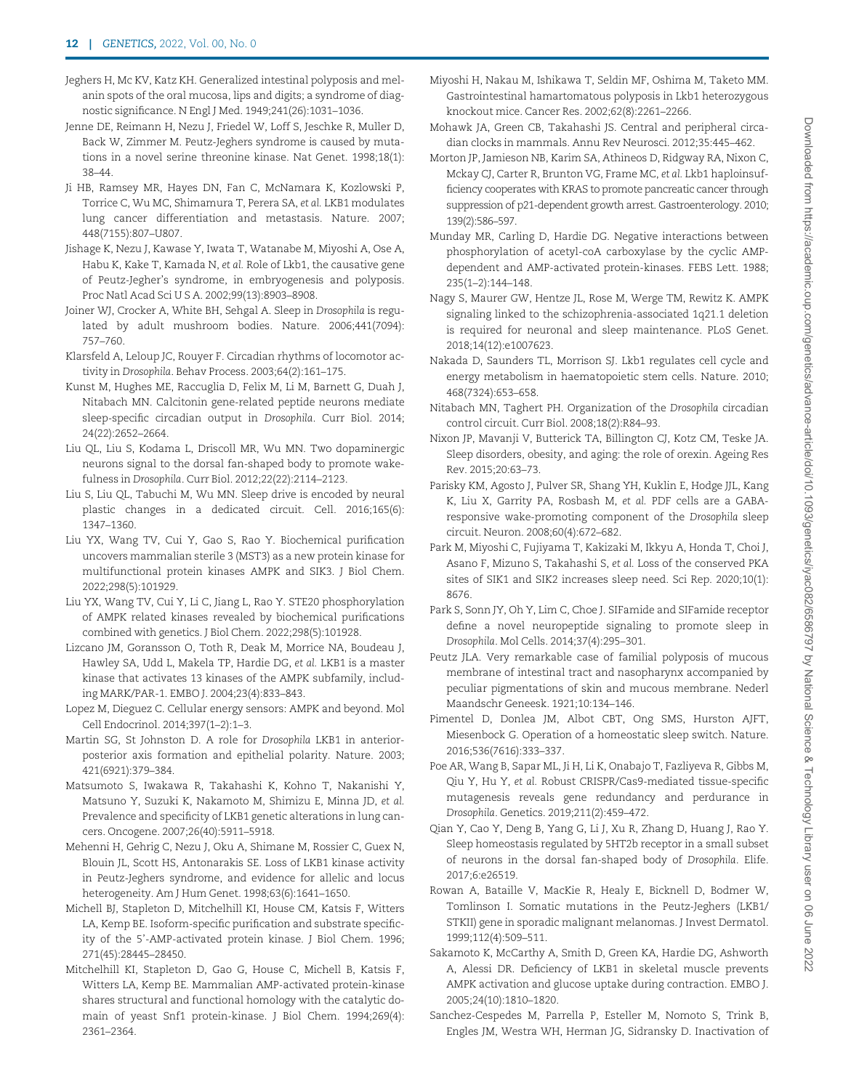- Jeghers H, Mc KV, Katz KH. Generalized intestinal polyposis and melanin spots of the oral mucosa, lips and digits; a syndrome of diagnostic significance. N Engl J Med. 1949;241(26):1031–1036.
- Jenne DE, Reimann H, Nezu J, Friedel W, Loff S, Jeschke R, Muller D, Back W, Zimmer M. Peutz-Jeghers syndrome is caused by mutations in a novel serine threonine kinase. Nat Genet. 1998;18(1): 38–44.
- Ji HB, Ramsey MR, Hayes DN, Fan C, McNamara K, Kozlowski P, Torrice C, Wu MC, Shimamura T, Perera SA, et al. LKB1 modulates lung cancer differentiation and metastasis. Nature. 2007; 448(7155):807–U807.
- Jishage K, Nezu J, Kawase Y, Iwata T, Watanabe M, Miyoshi A, Ose A, Habu K, Kake T, Kamada N, et al. Role of Lkb1, the causative gene of Peutz-Jegher's syndrome, in embryogenesis and polyposis. Proc Natl Acad Sci U S A. 2002;99(13):8903–8908.
- Joiner WJ, Crocker A, White BH, Sehgal A. Sleep in Drosophila is regulated by adult mushroom bodies. Nature. 2006;441(7094): 757–760.
- Klarsfeld A, Leloup JC, Rouyer F. Circadian rhythms of locomotor activity in Drosophila. Behav Process. 2003;64(2):161–175.
- Kunst M, Hughes ME, Raccuglia D, Felix M, Li M, Barnett G, Duah J, Nitabach MN. Calcitonin gene-related peptide neurons mediate sleep-specific circadian output in Drosophila. Curr Biol. 2014; 24(22):2652–2664.
- Liu QL, Liu S, Kodama L, Driscoll MR, Wu MN. Two dopaminergic neurons signal to the dorsal fan-shaped body to promote wakefulness in Drosophila. Curr Biol. 2012;22(22):2114–2123.
- Liu S, Liu QL, Tabuchi M, Wu MN. Sleep drive is encoded by neural plastic changes in a dedicated circuit. Cell. 2016;165(6): 1347–1360.
- Liu YX, Wang TV, Cui Y, Gao S, Rao Y. Biochemical purification uncovers mammalian sterile 3 (MST3) as a new protein kinase for multifunctional protein kinases AMPK and SIK3. J Biol Chem. 2022;298(5):101929.
- Liu YX, Wang TV, Cui Y, Li C, Jiang L, Rao Y. STE20 phosphorylation of AMPK related kinases revealed by biochemical purifications combined with genetics. J Biol Chem. 2022;298(5):101928.
- Lizcano JM, Goransson O, Toth R, Deak M, Morrice NA, Boudeau J, Hawley SA, Udd L, Makela TP, Hardie DG, et al. LKB1 is a master kinase that activates 13 kinases of the AMPK subfamily, including MARK/PAR-1. EMBO J. 2004;23(4):833–843.
- Lopez M, Dieguez C. Cellular energy sensors: AMPK and beyond. Mol Cell Endocrinol. 2014;397(1–2):1–3.
- Martin SG, St Johnston D. A role for Drosophila LKB1 in anteriorposterior axis formation and epithelial polarity. Nature. 2003; 421(6921):379–384.
- Matsumoto S, Iwakawa R, Takahashi K, Kohno T, Nakanishi Y, Matsuno Y, Suzuki K, Nakamoto M, Shimizu E, Minna JD, et al. Prevalence and specificity of LKB1 genetic alterations in lung cancers. Oncogene. 2007;26(40):5911–5918.
- Mehenni H, Gehrig C, Nezu J, Oku A, Shimane M, Rossier C, Guex N, Blouin JL, Scott HS, Antonarakis SE. Loss of LKB1 kinase activity in Peutz-Jeghers syndrome, and evidence for allelic and locus heterogeneity. Am J Hum Genet. 1998;63(6):1641–1650.
- Michell BJ, Stapleton D, Mitchelhill KI, House CM, Katsis F, Witters LA, Kemp BE. Isoform-specific purification and substrate specificity of the 5'-AMP-activated protein kinase. J Biol Chem. 1996; 271(45):28445–28450.
- Mitchelhill KI, Stapleton D, Gao G, House C, Michell B, Katsis F, Witters LA, Kemp BE. Mammalian AMP-activated protein-kinase shares structural and functional homology with the catalytic domain of yeast Snf1 protein-kinase. J Biol Chem. 1994;269(4): 2361–2364.
- Miyoshi H, Nakau M, Ishikawa T, Seldin MF, Oshima M, Taketo MM. Gastrointestinal hamartomatous polyposis in Lkb1 heterozygous knockout mice. Cancer Res. 2002;62(8):2261–2266.
- Mohawk JA, Green CB, Takahashi JS. Central and peripheral circadian clocks in mammals. Annu Rev Neurosci. 2012;35:445–462.
- Morton JP, Jamieson NB, Karim SA, Athineos D, Ridgway RA, Nixon C, Mckay CJ, Carter R, Brunton VG, Frame MC, et al. Lkb1 haploinsufficiency cooperates with KRAS to promote pancreatic cancer through suppression of p21-dependent growth arrest. Gastroenterology. 2010; 139(2):586–597.
- Munday MR, Carling D, Hardie DG. Negative interactions between phosphorylation of acetyl-coA carboxylase by the cyclic AMPdependent and AMP-activated protein-kinases. FEBS Lett. 1988; 235(1–2):144–148.
- Nagy S, Maurer GW, Hentze JL, Rose M, Werge TM, Rewitz K. AMPK signaling linked to the schizophrenia-associated 1q21.1 deletion is required for neuronal and sleep maintenance. PLoS Genet. 2018;14(12):e1007623.
- Nakada D, Saunders TL, Morrison SJ. Lkb1 regulates cell cycle and energy metabolism in haematopoietic stem cells. Nature. 2010; 468(7324):653–658.
- Nitabach MN, Taghert PH. Organization of the Drosophila circadian control circuit. Curr Biol. 2008;18(2):R84–93.
- Nixon JP, Mavanji V, Butterick TA, Billington CJ, Kotz CM, Teske JA. Sleep disorders, obesity, and aging: the role of orexin. Ageing Res Rev. 2015;20:63–73.
- Parisky KM, Agosto J, Pulver SR, Shang YH, Kuklin E, Hodge JJL, Kang K, Liu X, Garrity PA, Rosbash M, et al. PDF cells are a GABAresponsive wake-promoting component of the Drosophila sleep circuit. Neuron. 2008;60(4):672–682.
- Park M, Miyoshi C, Fujiyama T, Kakizaki M, Ikkyu A, Honda T, Choi J, Asano F, Mizuno S, Takahashi S, et al. Loss of the conserved PKA sites of SIK1 and SIK2 increases sleep need. Sci Rep. 2020;10(1): 8676.
- Park S, Sonn JY, Oh Y, Lim C, Choe J. SIFamide and SIFamide receptor define a novel neuropeptide signaling to promote sleep in Drosophila. Mol Cells. 2014;37(4):295–301.
- Peutz JLA. Very remarkable case of familial polyposis of mucous membrane of intestinal tract and nasopharynx accompanied by peculiar pigmentations of skin and mucous membrane. Nederl Maandschr Geneesk. 1921;10:134–146.
- Pimentel D, Donlea JM, Albot CBT, Ong SMS, Hurston AJFT, Miesenbock G. Operation of a homeostatic sleep switch. Nature. 2016;536(7616):333–337.
- Poe AR, Wang B, Sapar ML, Ji H, Li K, Onabajo T, Fazliyeva R, Gibbs M, Qiu Y, Hu Y, et al. Robust CRISPR/Cas9-mediated tissue-specific mutagenesis reveals gene redundancy and perdurance in Drosophila. Genetics. 2019;211(2):459–472.
- Qian Y, Cao Y, Deng B, Yang G, Li J, Xu R, Zhang D, Huang J, Rao Y. Sleep homeostasis regulated by 5HT2b receptor in a small subset of neurons in the dorsal fan-shaped body of Drosophila. Elife. 2017;6:e26519.
- Rowan A, Bataille V, MacKie R, Healy E, Bicknell D, Bodmer W, Tomlinson I. Somatic mutations in the Peutz-Jeghers (LKB1/ STKII) gene in sporadic malignant melanomas. J Invest Dermatol. 1999;112(4):509–511.
- Sakamoto K, McCarthy A, Smith D, Green KA, Hardie DG, Ashworth A, Alessi DR. Deficiency of LKB1 in skeletal muscle prevents AMPK activation and glucose uptake during contraction. EMBO J. 2005;24(10):1810–1820.
- Sanchez-Cespedes M, Parrella P, Esteller M, Nomoto S, Trink B, Engles JM, Westra WH, Herman JG, Sidransky D. Inactivation of